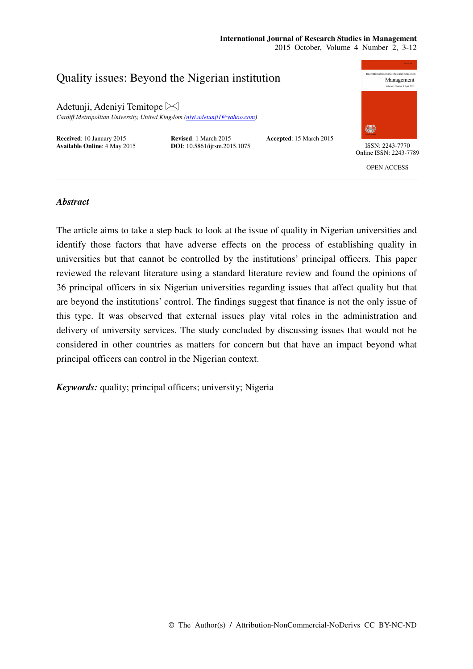# **International Journal of Research Studies in Management**

2015 October, Volume 4 Number 2, 3-12



# *Abstract*

The article aims to take a step back to look at the issue of quality in Nigerian universities and identify those factors that have adverse effects on the process of establishing quality in universities but that cannot be controlled by the institutions' principal officers. This paper reviewed the relevant literature using a standard literature review and found the opinions of 36 principal officers in six Nigerian universities regarding issues that affect quality but that are beyond the institutions' control. The findings suggest that finance is not the only issue of this type. It was observed that external issues play vital roles in the administration and delivery of university services. The study concluded by discussing issues that would not be considered in other countries as matters for concern but that have an impact beyond what principal officers can control in the Nigerian context.

*Keywords:* quality; principal officers; university; Nigeria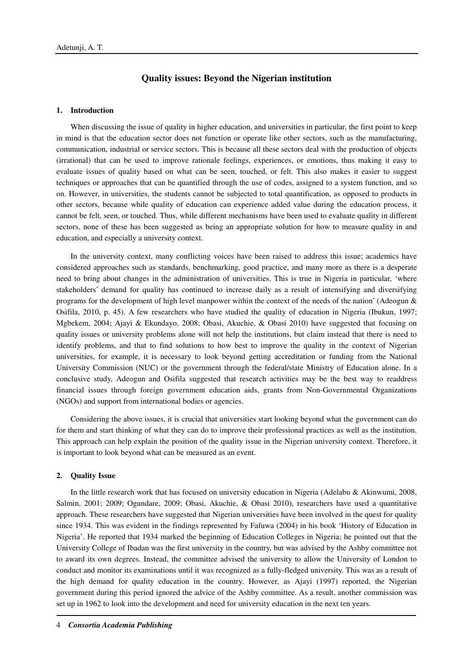# **Quality issues: Beyond the Nigerian institution**

### **1. Introduction**

When discussing the issue of quality in higher education, and universities in particular, the first point to keep in mind is that the education sector does not function or operate like other sectors, such as the manufacturing, communication, industrial or service sectors. This is because all these sectors deal with the production of objects (irrational) that can be used to improve rationale feelings, experiences, or emotions, thus making it easy to evaluate issues of quality based on what can be seen, touched, or felt. This also makes it easier to suggest techniques or approaches that can be quantified through the use of codes, assigned to a system function, and so on. However, in universities, the students cannot be subjected to total quantification, as opposed to products in other sectors, because while quality of education can experience added value during the education process, it cannot be felt, seen, or touched. Thus, while different mechanisms have been used to evaluate quality in different sectors, none of these has been suggested as being an appropriate solution for how to measure quality in and education, and especially a university context.

In the university context, many conflicting voices have been raised to address this issue; academics have considered approaches such as standards, benchmarking, good practice, and many more as there is a desperate need to bring about changes in the administration of universities. This is true in Nigeria in particular, 'where stakeholders' demand for quality has continued to increase daily as a result of intensifying and diversifying programs for the development of high level manpower within the context of the needs of the nation' (Adeogun & Osifila, 2010, p. 45). A few researchers who have studied the quality of education in Nigeria (Ibukun, 1997; Mgbekem, 2004; Ajayi & Ekundayo, 2008; Obasi, Akuchie, & Obasi 2010) have suggested that focusing on quality issues or university problems alone will not help the institutions, but claim instead that there is need to identify problems, and that to find solutions to how best to improve the quality in the context of Nigerian universities, for example, it is necessary to look beyond getting accreditation or funding from the National University Commission (NUC) or the government through the federal/state Ministry of Education alone. In a conclusive study, Adeogun and Osifila suggested that research activities may be the best way to readdress financial issues through foreign government education aids, grants from Non-Governmental Organizations (NGOs) and support from international bodies or agencies.

Considering the above issues, it is crucial that universities start looking beyond what the government can do for them and start thinking of what they can do to improve their professional practices as well as the institution. This approach can help explain the position of the quality issue in the Nigerian university context. Therefore, it is important to look beyond what can be measured as an event.

#### **2. Quality Issue**

In the little research work that has focused on university education in Nigeria (Adelabu & Akinwumi, 2008, Salmin, 2001; 2009; Ogundare, 2009; Obasi, Akuchie, & Obasi 2010), researchers have used a quantitative approach. These researchers have suggested that Nigerian universities have been involved in the quest for quality since 1934. This was evident in the findings represented by Fafuwa (2004) in his book 'History of Education in Nigeria'. He reported that 1934 marked the beginning of Education Colleges in Nigeria; he pointed out that the University College of Ibadan was the first university in the country, but was advised by the Ashby committee not to award its own degrees. Instead, the committee advised the university to allow the University of London to conduct and monitor its examinations until it was recognized as a fully-fledged university. This was as a result of the high demand for quality education in the country. However, as Ajayi (1997) reported, the Nigerian government during this period ignored the advice of the Ashby committee. As a result, another commission was set up in 1962 to look into the development and need for university education in the next ten years.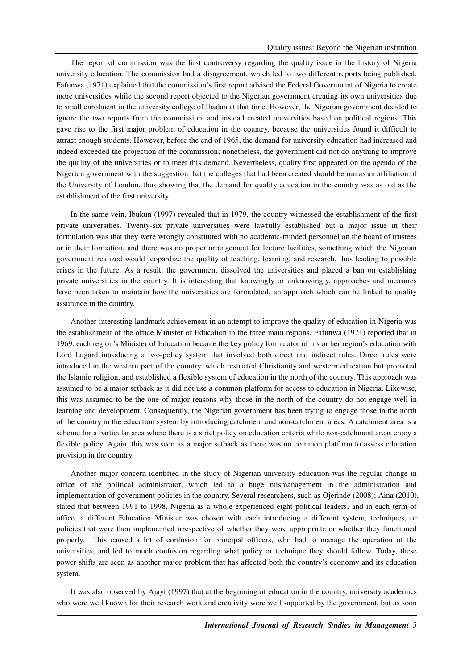The report of commission was the first controversy regarding the quality issue in the history of Nigeria university education. The commission had a disagreement, which led to two different reports being published. Fafunwa (1971) explained that the commission's first report advised the Federal Government of Nigeria to create more universities while the second report objected to the Nigerian government creating its own universities due to small enrolment in the university college of Ibadan at that time. However, the Nigerian government decided to ignore the two reports from the commission, and instead created universities based on political regions. This gave rise to the first major problem of education in the country, because the universities found it difficult to attract enough students. However, before the end of 1965, the demand for university education had increased and indeed exceeded the projection of the commission; nonetheless, the government did not do anything to improve the quality of the universities or to meet this demand. Nevertheless, quality first appeared on the agenda of the Nigerian government with the suggestion that the colleges that had been created should be run as an affiliation of the University of London, thus showing that the demand for quality education in the country was as old as the establishment of the first university.

In the same vein, Ibukun (1997) revealed that in 1979, the country witnessed the establishment of the first private universities. Twenty-six private universities were lawfully established but a major issue in their formulation was that they were wrongly constituted with no academic-minded personnel on the board of trustees or in their formation, and there was no proper arrangement for lecture facilities, something which the Nigerian government realized would jeopardize the quality of teaching, learning, and research, thus leading to possible crises in the future. As a result, the government dissolved the universities and placed a ban on establishing private universities in the country. It is interesting that knowingly or unknowingly, approaches and measures have been taken to maintain how the universities are formulated, an approach which can be linked to quality assurance in the country.

Another interesting landmark achievement in an attempt to improve the quality of education in Nigeria was the establishment of the office Minister of Education in the three main regions. Fafunwa (1971) reported that in 1969, each region's Minister of Education became the key policy formulator of his or her region's education with Lord Lugard introducing a two-policy system that involved both direct and indirect rules. Direct rules were introduced in the western part of the country, which restricted Christianity and western education but promoted the Islamic religion, and established a flexible system of education in the north of the country. This approach was assumed to be a major setback as it did not use a common platform for access to education in Nigeria. Likewise, this was assumed to be the one of major reasons why those in the north of the country do not engage well in learning and development. Consequently, the Nigerian government has been trying to engage those in the north of the country in the education system by introducing catchment and non-catchment areas. A catchment area is a scheme for a particular area where there is a strict policy on education criteria while non-catchment areas enjoy a flexible policy. Again, this was seen as a major setback as there was no common platform to assess education provision in the country.

Another major concern identified in the study of Nigerian university education was the regular change in office of the political administrator, which led to a huge mismanagement in the administration and implementation of government policies in the country. Several researchers, such as Ojerinde (2008); Aina (2010), stated that between 1991 to 1998, Nigeria as a whole experienced eight political leaders, and in each term of office, a different Education Minister was chosen with each introducing a different system, techniques, or policies that were then implemented irrespective of whether they were appropriate or whether they functioned properly. This caused a lot of confusion for principal officers, who had to manage the operation of the universities, and led to much confusion regarding what policy or technique they should follow. Today, these power shifts are seen as another major problem that has affected both the country's economy and its education system.

It was also observed by Ajayi (1997) that at the beginning of education in the country, university academics who were well known for their research work and creativity were well supported by the government, but as soon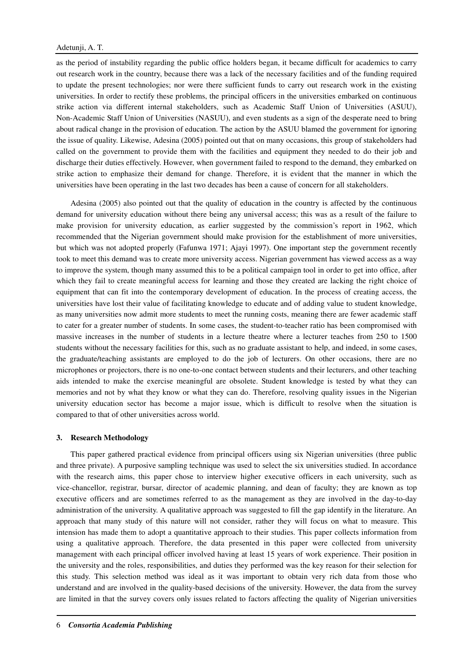as the period of instability regarding the public office holders began, it became difficult for academics to carry out research work in the country, because there was a lack of the necessary facilities and of the funding required to update the present technologies; nor were there sufficient funds to carry out research work in the existing universities. In order to rectify these problems, the principal officers in the universities embarked on continuous strike action via different internal stakeholders, such as Academic Staff Union of Universities (ASUU), Non-Academic Staff Union of Universities (NASUU), and even students as a sign of the desperate need to bring about radical change in the provision of education. The action by the ASUU blamed the government for ignoring the issue of quality. Likewise, Adesina (2005) pointed out that on many occasions, this group of stakeholders had called on the government to provide them with the facilities and equipment they needed to do their job and discharge their duties effectively. However, when government failed to respond to the demand, they embarked on strike action to emphasize their demand for change. Therefore, it is evident that the manner in which the universities have been operating in the last two decades has been a cause of concern for all stakeholders.

Adesina (2005) also pointed out that the quality of education in the country is affected by the continuous demand for university education without there being any universal access; this was as a result of the failure to make provision for university education, as earlier suggested by the commission's report in 1962, which recommended that the Nigerian government should make provision for the establishment of more universities, but which was not adopted properly (Fafunwa 1971; Ajayi 1997). One important step the government recently took to meet this demand was to create more university access. Nigerian government has viewed access as a way to improve the system, though many assumed this to be a political campaign tool in order to get into office, after which they fail to create meaningful access for learning and those they created are lacking the right choice of equipment that can fit into the contemporary development of education. In the process of creating access, the universities have lost their value of facilitating knowledge to educate and of adding value to student knowledge, as many universities now admit more students to meet the running costs, meaning there are fewer academic staff to cater for a greater number of students. In some cases, the student-to-teacher ratio has been compromised with massive increases in the number of students in a lecture theatre where a lecturer teaches from 250 to 1500 students without the necessary facilities for this, such as no graduate assistant to help, and indeed, in some cases, the graduate/teaching assistants are employed to do the job of lecturers. On other occasions, there are no microphones or projectors, there is no one-to-one contact between students and their lecturers, and other teaching aids intended to make the exercise meaningful are obsolete. Student knowledge is tested by what they can memories and not by what they know or what they can do. Therefore, resolving quality issues in the Nigerian university education sector has become a major issue, which is difficult to resolve when the situation is compared to that of other universities across world.

#### **3. Research Methodology**

This paper gathered practical evidence from principal officers using six Nigerian universities (three public and three private). A purposive sampling technique was used to select the six universities studied. In accordance with the research aims, this paper chose to interview higher executive officers in each university, such as vice-chancellor, registrar, bursar, director of academic planning, and dean of faculty; they are known as top executive officers and are sometimes referred to as the management as they are involved in the day-to-day administration of the university. A qualitative approach was suggested to fill the gap identify in the literature. An approach that many study of this nature will not consider, rather they will focus on what to measure. This intension has made them to adopt a quantitative approach to their studies. This paper collects information from using a qualitative approach. Therefore, the data presented in this paper were collected from university management with each principal officer involved having at least 15 years of work experience. Their position in the university and the roles, responsibilities, and duties they performed was the key reason for their selection for this study. This selection method was ideal as it was important to obtain very rich data from those who understand and are involved in the quality-based decisions of the university. However, the data from the survey are limited in that the survey covers only issues related to factors affecting the quality of Nigerian universities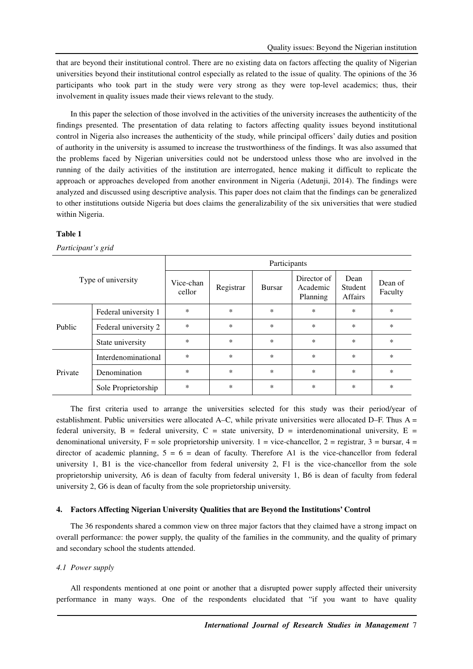that are beyond their institutional control. There are no existing data on factors affecting the quality of Nigerian universities beyond their institutional control especially as related to the issue of quality. The opinions of the 36 participants who took part in the study were very strong as they were top-level academics; thus, their involvement in quality issues made their views relevant to the study.

In this paper the selection of those involved in the activities of the university increases the authenticity of the findings presented. The presentation of data relating to factors affecting quality issues beyond institutional control in Nigeria also increases the authenticity of the study, while principal officers' daily duties and position of authority in the university is assumed to increase the trustworthiness of the findings. It was also assumed that the problems faced by Nigerian universities could not be understood unless those who are involved in the running of the daily activities of the institution are interrogated, hence making it difficult to replicate the approach or approaches developed from another environment in Nigeria (Adetunji, 2014). The findings were analyzed and discussed using descriptive analysis. This paper does not claim that the findings can be generalized to other institutions outside Nigeria but does claims the generalizability of the six universities that were studied within Nigeria.

# **Table 1**

# *Participant's grid*

| Type of university |                      | Participants        |           |               |                                     |                                   |                    |
|--------------------|----------------------|---------------------|-----------|---------------|-------------------------------------|-----------------------------------|--------------------|
|                    |                      | Vice-chan<br>cellor | Registrar | <b>Bursar</b> | Director of<br>Academic<br>Planning | Dean<br>Student<br><b>Affairs</b> | Dean of<br>Faculty |
| Public             | Federal university 1 | $\ast$              | $\ast$    | *             | $\ast$                              | $\ast$                            | $\ast$             |
|                    | Federal university 2 | $\ast$              | $\ast$    | $\ast$        | $\ast$                              | $\ast$                            | $\ast$             |
|                    | State university     | $\ast$              | $\ast$    | *             | $\ast$                              | $\ast$                            | $\ast$             |
| Private            | Interdenominational  | $\ast$              | $\ast$    | *             | $\ast$                              | $\ast$                            | $\ast$             |
|                    | Denomination         | $\ast$              | $\ast$    | *             | $\ast$                              | $\ast$                            | $\ast$             |
|                    | Sole Proprietorship  | $\ast$              | $\ast$    | $\ast$        | $\ast$                              | $\ast$                            | *                  |

The first criteria used to arrange the universities selected for this study was their period/year of establishment. Public universities were allocated A–C, while private universities were allocated D–F. Thus A = federal university,  $B =$  federal university,  $C =$  state university,  $D =$  interdenominational university,  $E =$ denominational university,  $F =$  sole proprietorship university. 1 = vice-chancellor, 2 = registrar, 3 = bursar, 4 = director of academic planning,  $5 = 6 =$  dean of faculty. Therefore A1 is the vice-chancellor from federal university 1, B1 is the vice-chancellor from federal university 2, F1 is the vice-chancellor from the sole proprietorship university, A6 is dean of faculty from federal university 1, B6 is dean of faculty from federal university 2, G6 is dean of faculty from the sole proprietorship university.

# **4. Factors Affecting Nigerian University Qualities that are Beyond the Institutions' Control**

The 36 respondents shared a common view on three major factors that they claimed have a strong impact on overall performance: the power supply, the quality of the families in the community, and the quality of primary and secondary school the students attended.

# *4.1 Power supply*

All respondents mentioned at one point or another that a disrupted power supply affected their university performance in many ways. One of the respondents elucidated that "if you want to have quality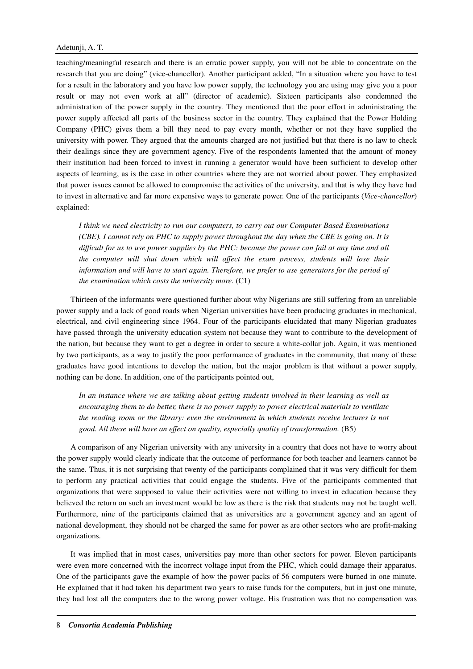teaching/meaningful research and there is an erratic power supply, you will not be able to concentrate on the research that you are doing" (vice-chancellor). Another participant added, "In a situation where you have to test for a result in the laboratory and you have low power supply, the technology you are using may give you a poor result or may not even work at all" (director of academic). Sixteen participants also condemned the administration of the power supply in the country. They mentioned that the poor effort in administrating the power supply affected all parts of the business sector in the country. They explained that the Power Holding Company (PHC) gives them a bill they need to pay every month, whether or not they have supplied the university with power. They argued that the amounts charged are not justified but that there is no law to check their dealings since they are government agency. Five of the respondents lamented that the amount of money their institution had been forced to invest in running a generator would have been sufficient to develop other aspects of learning, as is the case in other countries where they are not worried about power. They emphasized that power issues cannot be allowed to compromise the activities of the university, and that is why they have had to invest in alternative and far more expensive ways to generate power. One of the participants (*Vice-chancellor*) explained:

*I think we need electricity to run our computers, to carry out our Computer Based Examinations (CBE). I cannot rely on PHC to supply power throughout the day when the CBE is going on. It is difficult for us to use power supplies by the PHC: because the power can fail at any time and all the computer will shut down which will affect the exam process, students will lose their information and will have to start again. Therefore, we prefer to use generators for the period of the examination which costs the university more.* (C1)

Thirteen of the informants were questioned further about why Nigerians are still suffering from an unreliable power supply and a lack of good roads when Nigerian universities have been producing graduates in mechanical, electrical, and civil engineering since 1964. Four of the participants elucidated that many Nigerian graduates have passed through the university education system not because they want to contribute to the development of the nation, but because they want to get a degree in order to secure a white-collar job. Again, it was mentioned by two participants, as a way to justify the poor performance of graduates in the community, that many of these graduates have good intentions to develop the nation, but the major problem is that without a power supply, nothing can be done. In addition, one of the participants pointed out,

*In an instance where we are talking about getting students involved in their learning as well as encouraging them to do better, there is no power supply to power electrical materials to ventilate the reading room or the library: even the environment in which students receive lectures is not good. All these will have an effect on quality, especially quality of transformation.* (B5)

A comparison of any Nigerian university with any university in a country that does not have to worry about the power supply would clearly indicate that the outcome of performance for both teacher and learners cannot be the same. Thus, it is not surprising that twenty of the participants complained that it was very difficult for them to perform any practical activities that could engage the students. Five of the participants commented that organizations that were supposed to value their activities were not willing to invest in education because they believed the return on such an investment would be low as there is the risk that students may not be taught well. Furthermore, nine of the participants claimed that as universities are a government agency and an agent of national development, they should not be charged the same for power as are other sectors who are profit-making organizations.

It was implied that in most cases, universities pay more than other sectors for power. Eleven participants were even more concerned with the incorrect voltage input from the PHC, which could damage their apparatus. One of the participants gave the example of how the power packs of 56 computers were burned in one minute. He explained that it had taken his department two years to raise funds for the computers, but in just one minute, they had lost all the computers due to the wrong power voltage. His frustration was that no compensation was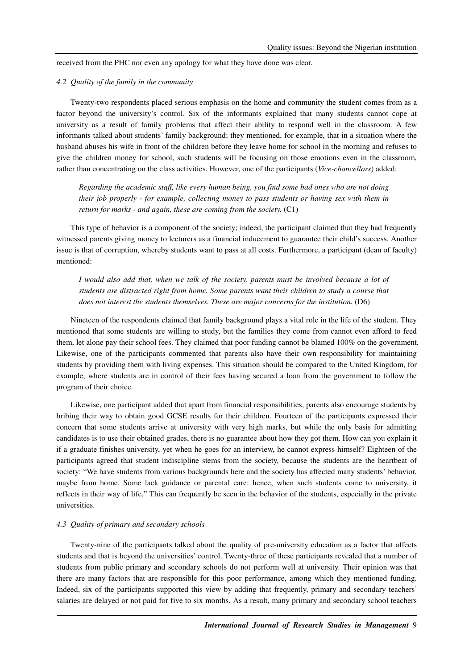received from the PHC nor even any apology for what they have done was clear.

### *4.2 Quality of the family in the community*

Twenty-two respondents placed serious emphasis on the home and community the student comes from as a factor beyond the university's control. Six of the informants explained that many students cannot cope at university as a result of family problems that affect their ability to respond well in the classroom. A few informants talked about students' family background; they mentioned, for example, that in a situation where the husband abuses his wife in front of the children before they leave home for school in the morning and refuses to give the children money for school, such students will be focusing on those emotions even in the classroom, rather than concentrating on the class activities. However, one of the participants (*Vice-chancellors*) added:

*Regarding the academic staff, like every human being, you find some bad ones who are not doing their job properly - for example, collecting money to pass students or having sex with them in return for marks - and again, these are coming from the society.* (C1)

This type of behavior is a component of the society; indeed, the participant claimed that they had frequently witnessed parents giving money to lecturers as a financial inducement to guarantee their child's success. Another issue is that of corruption, whereby students want to pass at all costs. Furthermore, a participant (dean of faculty) mentioned:

*I would also add that, when we talk of the society, parents must be involved because a lot of students are distracted right from home. Some parents want their children to study a course that does not interest the students themselves. These are major concerns for the institution.* (D6)

Nineteen of the respondents claimed that family background plays a vital role in the life of the student. They mentioned that some students are willing to study, but the families they come from cannot even afford to feed them, let alone pay their school fees. They claimed that poor funding cannot be blamed 100% on the government. Likewise, one of the participants commented that parents also have their own responsibility for maintaining students by providing them with living expenses. This situation should be compared to the United Kingdom, for example, where students are in control of their fees having secured a loan from the government to follow the program of their choice.

Likewise, one participant added that apart from financial responsibilities, parents also encourage students by bribing their way to obtain good GCSE results for their children. Fourteen of the participants expressed their concern that some students arrive at university with very high marks, but while the only basis for admitting candidates is to use their obtained grades, there is no guarantee about how they got them. How can you explain it if a graduate finishes university, yet when he goes for an interview, he cannot express himself? Eighteen of the participants agreed that student indiscipline stems from the society, because the students are the heartbeat of society: "We have students from various backgrounds here and the society has affected many students' behavior, maybe from home. Some lack guidance or parental care: hence, when such students come to university, it reflects in their way of life." This can frequently be seen in the behavior of the students, especially in the private universities.

#### *4.3 Quality of primary and secondary schools*

Twenty-nine of the participants talked about the quality of pre-university education as a factor that affects students and that is beyond the universities' control. Twenty-three of these participants revealed that a number of students from public primary and secondary schools do not perform well at university. Their opinion was that there are many factors that are responsible for this poor performance, among which they mentioned funding. Indeed, six of the participants supported this view by adding that frequently, primary and secondary teachers' salaries are delayed or not paid for five to six months. As a result, many primary and secondary school teachers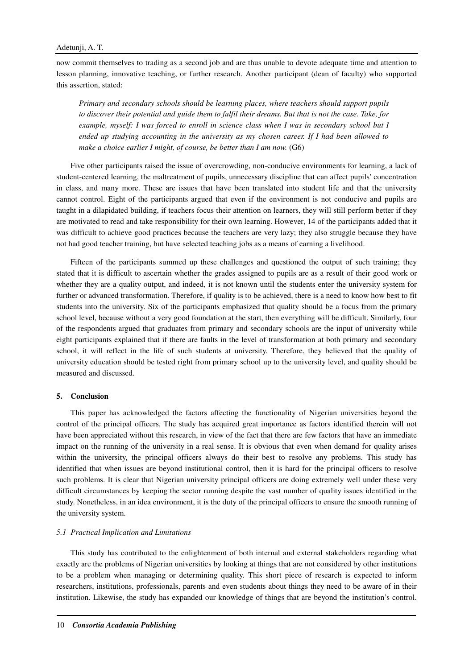now commit themselves to trading as a second job and are thus unable to devote adequate time and attention to lesson planning, innovative teaching, or further research. Another participant (dean of faculty) who supported this assertion, stated:

*Primary and secondary schools should be learning places, where teachers should support pupils to discover their potential and guide them to fulfil their dreams. But that is not the case. Take, for example, myself: I was forced to enroll in science class when I was in secondary school but I ended up studying accounting in the university as my chosen career. If I had been allowed to make a choice earlier I might, of course, be better than I am now.* (G6)

Five other participants raised the issue of overcrowding, non-conducive environments for learning, a lack of student-centered learning, the maltreatment of pupils, unnecessary discipline that can affect pupils' concentration in class, and many more. These are issues that have been translated into student life and that the university cannot control. Eight of the participants argued that even if the environment is not conducive and pupils are taught in a dilapidated building, if teachers focus their attention on learners, they will still perform better if they are motivated to read and take responsibility for their own learning. However, 14 of the participants added that it was difficult to achieve good practices because the teachers are very lazy; they also struggle because they have not had good teacher training, but have selected teaching jobs as a means of earning a livelihood.

Fifteen of the participants summed up these challenges and questioned the output of such training; they stated that it is difficult to ascertain whether the grades assigned to pupils are as a result of their good work or whether they are a quality output, and indeed, it is not known until the students enter the university system for further or advanced transformation. Therefore, if quality is to be achieved, there is a need to know how best to fit students into the university. Six of the participants emphasized that quality should be a focus from the primary school level, because without a very good foundation at the start, then everything will be difficult. Similarly, four of the respondents argued that graduates from primary and secondary schools are the input of university while eight participants explained that if there are faults in the level of transformation at both primary and secondary school, it will reflect in the life of such students at university. Therefore, they believed that the quality of university education should be tested right from primary school up to the university level, and quality should be measured and discussed.

### **5. Conclusion**

This paper has acknowledged the factors affecting the functionality of Nigerian universities beyond the control of the principal officers. The study has acquired great importance as factors identified therein will not have been appreciated without this research, in view of the fact that there are few factors that have an immediate impact on the running of the university in a real sense. It is obvious that even when demand for quality arises within the university, the principal officers always do their best to resolve any problems. This study has identified that when issues are beyond institutional control, then it is hard for the principal officers to resolve such problems. It is clear that Nigerian university principal officers are doing extremely well under these very difficult circumstances by keeping the sector running despite the vast number of quality issues identified in the study. Nonetheless, in an idea environment, it is the duty of the principal officers to ensure the smooth running of the university system.

#### *5.1 Practical Implication and Limitations*

This study has contributed to the enlightenment of both internal and external stakeholders regarding what exactly are the problems of Nigerian universities by looking at things that are not considered by other institutions to be a problem when managing or determining quality. This short piece of research is expected to inform researchers, institutions, professionals, parents and even students about things they need to be aware of in their institution. Likewise, the study has expanded our knowledge of things that are beyond the institution's control.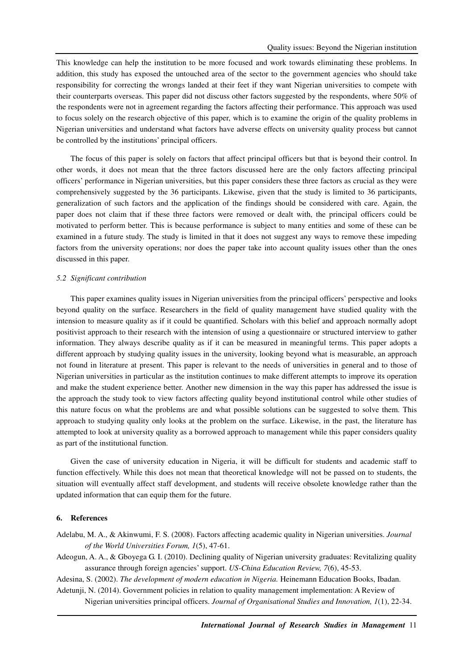This knowledge can help the institution to be more focused and work towards eliminating these problems. In addition, this study has exposed the untouched area of the sector to the government agencies who should take responsibility for correcting the wrongs landed at their feet if they want Nigerian universities to compete with their counterparts overseas. This paper did not discuss other factors suggested by the respondents, where 50% of the respondents were not in agreement regarding the factors affecting their performance. This approach was used to focus solely on the research objective of this paper, which is to examine the origin of the quality problems in Nigerian universities and understand what factors have adverse effects on university quality process but cannot be controlled by the institutions' principal officers.

The focus of this paper is solely on factors that affect principal officers but that is beyond their control. In other words, it does not mean that the three factors discussed here are the only factors affecting principal officers' performance in Nigerian universities, but this paper considers these three factors as crucial as they were comprehensively suggested by the 36 participants. Likewise, given that the study is limited to 36 participants, generalization of such factors and the application of the findings should be considered with care. Again, the paper does not claim that if these three factors were removed or dealt with, the principal officers could be motivated to perform better. This is because performance is subject to many entities and some of these can be examined in a future study. The study is limited in that it does not suggest any ways to remove these impeding factors from the university operations; nor does the paper take into account quality issues other than the ones discussed in this paper.

### *5.2 Significant contribution*

This paper examines quality issues in Nigerian universities from the principal officers' perspective and looks beyond quality on the surface. Researchers in the field of quality management have studied quality with the intension to measure quality as if it could be quantified. Scholars with this belief and approach normally adopt positivist approach to their research with the intension of using a questionnaire or structured interview to gather information. They always describe quality as if it can be measured in meaningful terms. This paper adopts a different approach by studying quality issues in the university, looking beyond what is measurable, an approach not found in literature at present. This paper is relevant to the needs of universities in general and to those of Nigerian universities in particular as the institution continues to make different attempts to improve its operation and make the student experience better. Another new dimension in the way this paper has addressed the issue is the approach the study took to view factors affecting quality beyond institutional control while other studies of this nature focus on what the problems are and what possible solutions can be suggested to solve them. This approach to studying quality only looks at the problem on the surface. Likewise, in the past, the literature has attempted to look at university quality as a borrowed approach to management while this paper considers quality as part of the institutional function.

Given the case of university education in Nigeria, it will be difficult for students and academic staff to function effectively. While this does not mean that theoretical knowledge will not be passed on to students, the situation will eventually affect staff development, and students will receive obsolete knowledge rather than the updated information that can equip them for the future.

### **6. References**

Adelabu, M. A., & Akinwumi, F. S. (2008). Factors affecting academic quality in Nigerian universities. *Journal of the World Universities Forum, 1*(5), 47-61.

Adeogun, A. A., & Gboyega G. I. (2010). Declining quality of Nigerian university graduates: Revitalizing quality assurance through foreign agencies' support. *US-China Education Review, 7*(6), 45-53.

Adesina, S. (2002). *The development of modern education in Nigeria.* Heinemann Education Books, Ibadan. Adetunji, N. (2014). Government policies in relation to quality management implementation: A Review of Nigerian universities principal officers. *Journal of Organisational Studies and Innovation, 1*(1), 22-34.